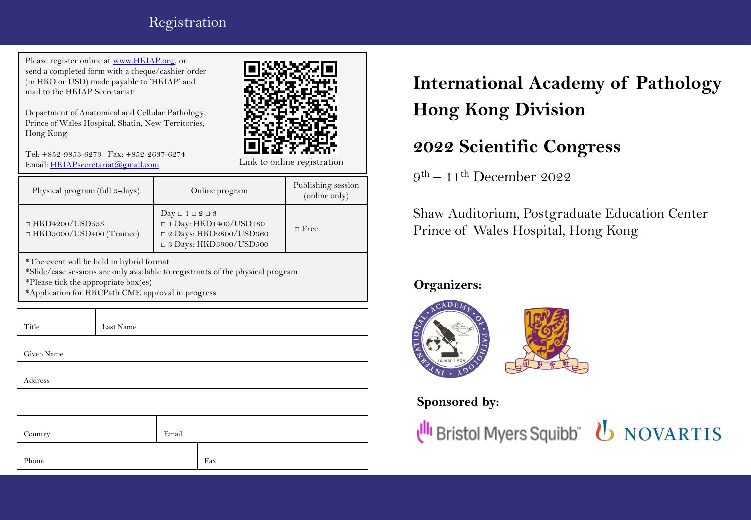## Registration

Please register online at [www.HKIAP.org,](http://www.hkiap.org/) or send a completed form with a cheque/cashier order (in HKD or USD) made payable to 'HKIAP' and mail to the HKIAP Secretariat:

Department of Anatomical and Cellular Pathology, Prince of Wales Hospital, Shatin, New Territories, Hong Kong



Tel: +852-9853-6273 Fax: +852-2637-6274 Email: [HKIAPsecretariat@gmail.com](mailto:HKIAPsecretariat@gmail.com)

Physical program (full 3-days) Online program Publishing session (online only)  $\Box$  HKD4200/USD535 □ HKD3000/USD400 (Trainee)  $Day \Box 1 \Box 2 \Box 3$  $\Box$  1 Day: HKD1400/USD180 □ 2 Days: HKD2800/USD360 □ 3 Days: HKD3900/USD500 □ Free

\*The event will be held in hybrid format \*Slide/case sessions are only available to registrants of the physical program \*Please tick the appropriate box(es) \*Application for HKCPath CME approval in progress

Title Last Name

Given Name

Address

| Country | Email |     |
|---------|-------|-----|
| Phone   |       | Fax |

**International Academy of Pathology Hong Kong Division**

# **2022 Scientific Congress**

 $9^{\text{th}} - 11^{\text{th}}$  December 2022

Shaw Auditorium, Postgraduate Education Center Prince of Wales Hospital, Hong Kong

### **Organizers:**



## **Sponsored by:**